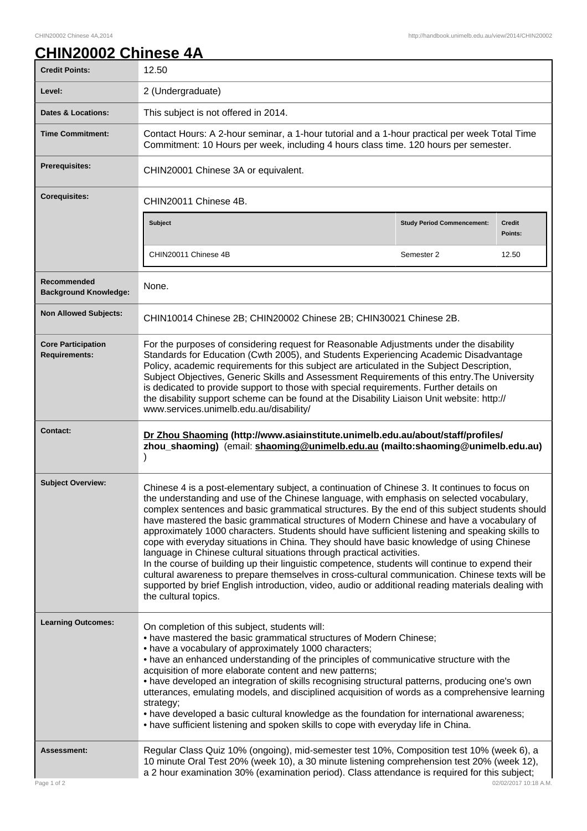## **CHIN20002 Chinese 4A**

| <b>Credit Points:</b>                             | 12.50                                                                                                                                                                                                                                                                                                                                                                                                                                                                                                                                                                                                                                                                                                                                                                                                                                                                                                                                                                                                  |                                   |                   |
|---------------------------------------------------|--------------------------------------------------------------------------------------------------------------------------------------------------------------------------------------------------------------------------------------------------------------------------------------------------------------------------------------------------------------------------------------------------------------------------------------------------------------------------------------------------------------------------------------------------------------------------------------------------------------------------------------------------------------------------------------------------------------------------------------------------------------------------------------------------------------------------------------------------------------------------------------------------------------------------------------------------------------------------------------------------------|-----------------------------------|-------------------|
| Level:                                            | 2 (Undergraduate)                                                                                                                                                                                                                                                                                                                                                                                                                                                                                                                                                                                                                                                                                                                                                                                                                                                                                                                                                                                      |                                   |                   |
| <b>Dates &amp; Locations:</b>                     | This subject is not offered in 2014.                                                                                                                                                                                                                                                                                                                                                                                                                                                                                                                                                                                                                                                                                                                                                                                                                                                                                                                                                                   |                                   |                   |
| <b>Time Commitment:</b>                           | Contact Hours: A 2-hour seminar, a 1-hour tutorial and a 1-hour practical per week Total Time<br>Commitment: 10 Hours per week, including 4 hours class time. 120 hours per semester.                                                                                                                                                                                                                                                                                                                                                                                                                                                                                                                                                                                                                                                                                                                                                                                                                  |                                   |                   |
| <b>Prerequisites:</b>                             | CHIN20001 Chinese 3A or equivalent.                                                                                                                                                                                                                                                                                                                                                                                                                                                                                                                                                                                                                                                                                                                                                                                                                                                                                                                                                                    |                                   |                   |
| <b>Corequisites:</b>                              | CHIN20011 Chinese 4B.                                                                                                                                                                                                                                                                                                                                                                                                                                                                                                                                                                                                                                                                                                                                                                                                                                                                                                                                                                                  |                                   |                   |
|                                                   | <b>Subject</b>                                                                                                                                                                                                                                                                                                                                                                                                                                                                                                                                                                                                                                                                                                                                                                                                                                                                                                                                                                                         | <b>Study Period Commencement:</b> | Credit<br>Points: |
|                                                   | CHIN20011 Chinese 4B                                                                                                                                                                                                                                                                                                                                                                                                                                                                                                                                                                                                                                                                                                                                                                                                                                                                                                                                                                                   | Semester 2                        | 12.50             |
| Recommended<br><b>Background Knowledge:</b>       | None.                                                                                                                                                                                                                                                                                                                                                                                                                                                                                                                                                                                                                                                                                                                                                                                                                                                                                                                                                                                                  |                                   |                   |
| <b>Non Allowed Subjects:</b>                      | CHIN10014 Chinese 2B; CHIN20002 Chinese 2B; CHIN30021 Chinese 2B.                                                                                                                                                                                                                                                                                                                                                                                                                                                                                                                                                                                                                                                                                                                                                                                                                                                                                                                                      |                                   |                   |
| <b>Core Participation</b><br><b>Requirements:</b> | For the purposes of considering request for Reasonable Adjustments under the disability<br>Standards for Education (Cwth 2005), and Students Experiencing Academic Disadvantage<br>Policy, academic requirements for this subject are articulated in the Subject Description,<br>Subject Objectives, Generic Skills and Assessment Requirements of this entry. The University<br>is dedicated to provide support to those with special requirements. Further details on<br>the disability support scheme can be found at the Disability Liaison Unit website: http://<br>www.services.unimelb.edu.au/disability/                                                                                                                                                                                                                                                                                                                                                                                       |                                   |                   |
| <b>Contact:</b>                                   | Dr Zhou Shaoming (http://www.asiainstitute.unimelb.edu.au/about/staff/profiles/<br>zhou_shaoming) (email: shaoming@unimelb.edu.au (mailto:shaoming@unimelb.edu.au)                                                                                                                                                                                                                                                                                                                                                                                                                                                                                                                                                                                                                                                                                                                                                                                                                                     |                                   |                   |
| <b>Subject Overview:</b>                          | Chinese 4 is a post-elementary subject, a continuation of Chinese 3. It continues to focus on<br>the understanding and use of the Chinese language, with emphasis on selected vocabulary,<br>complex sentences and basic grammatical structures. By the end of this subject students should<br>have mastered the basic grammatical structures of Modern Chinese and have a vocabulary of<br>approximately 1000 characters. Students should have sufficient listening and speaking skills to<br>cope with everyday situations in China. They should have basic knowledge of using Chinese<br>language in Chinese cultural situations through practical activities.<br>In the course of building up their linguistic competence, students will continue to expend their<br>cultural awareness to prepare themselves in cross-cultural communication. Chinese texts will be<br>supported by brief English introduction, video, audio or additional reading materials dealing with<br>the cultural topics. |                                   |                   |
| <b>Learning Outcomes:</b>                         | On completion of this subject, students will:<br>• have mastered the basic grammatical structures of Modern Chinese;<br>• have a vocabulary of approximately 1000 characters;<br>. have an enhanced understanding of the principles of communicative structure with the<br>acquisition of more elaborate content and new patterns;<br>• have developed an integration of skills recognising structural patterns, producing one's own<br>utterances, emulating models, and disciplined acquisition of words as a comprehensive learning<br>strategy;<br>• have developed a basic cultural knowledge as the foundation for international awareness;<br>• have sufficient listening and spoken skills to cope with everyday life in China.                                                                                                                                                                                                                                                                |                                   |                   |
| <b>Assessment:</b><br>Page 1 of 2                 | Regular Class Quiz 10% (ongoing), mid-semester test 10%, Composition test 10% (week 6), a<br>10 minute Oral Test 20% (week 10), a 30 minute listening comprehension test 20% (week 12),<br>a 2 hour examination 30% (examination period). Class attendance is required for this subject;<br>02/02/2017 10:18 A.M.                                                                                                                                                                                                                                                                                                                                                                                                                                                                                                                                                                                                                                                                                      |                                   |                   |